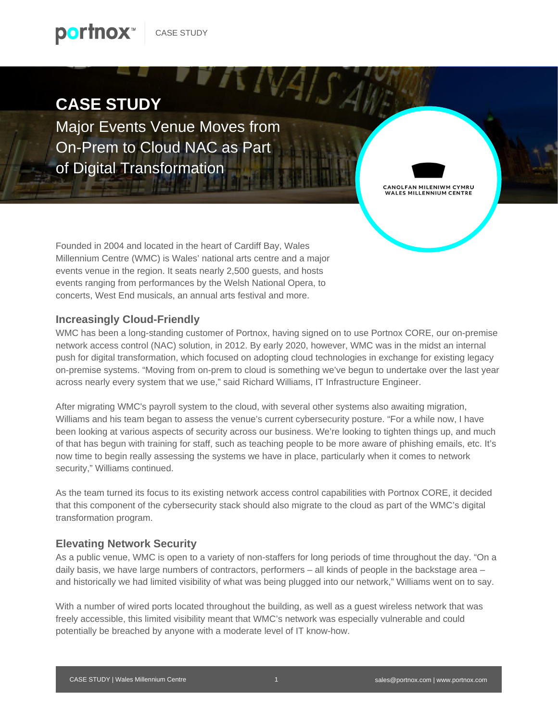

## **CASE STUDY**

Major Events Venue Moves from On-Prem to Cloud NAC as Part of Digital Transformation



Founded in 2004 and located in the heart of Cardiff Bay, Wales Millennium Centre (WMC) is Wales' national arts centre and a major events venue in the region. It seats nearly 2,500 guests, and hosts events ranging from performances by the Welsh National Opera, to concerts, West End musicals, an annual arts festival and more.

#### **Increasingly Cloud-Friendly**

WMC has been a long-standing customer of Portnox, having signed on to use Portnox CORE, our on-premise network access control (NAC) solution, in 2012. By early 2020, however, WMC was in the midst an internal push for digital transformation, which focused on adopting cloud technologies in exchange for existing legacy on-premise systems. "Moving from on-prem to cloud is something we've begun to undertake over the last year across nearly every system that we use," said Richard Williams, IT Infrastructure Engineer.

 $T N 4$ 

After migrating WMC's payroll system to the cloud, with several other systems also awaiting migration, Williams and his team began to assess the venue's current cybersecurity posture. "For a while now, I have been looking at various aspects of security across our business. We're looking to tighten things up, and much of that has begun with training for staff, such as teaching people to be more aware of phishing emails, etc. It's now time to begin really assessing the systems we have in place, particularly when it comes to network security," Williams continued.

As the team turned its focus to its existing network access control capabilities with Portnox CORE, it decided that this component of the cybersecurity stack should also migrate to the cloud as part of the WMC's digital transformation program.

#### **Elevating Network Security**

As a public venue, WMC is open to a variety of non-staffers for long periods of time throughout the day. "On a daily basis, we have large numbers of contractors, performers – all kinds of people in the backstage area – and historically we had limited visibility of what was being plugged into our network," Williams went on to say.

With a number of wired ports located throughout the building, as well as a guest wireless network that was freely accessible, this limited visibility meant that WMC's network was especially vulnerable and could potentially be breached by anyone with a moderate level of IT know-how.